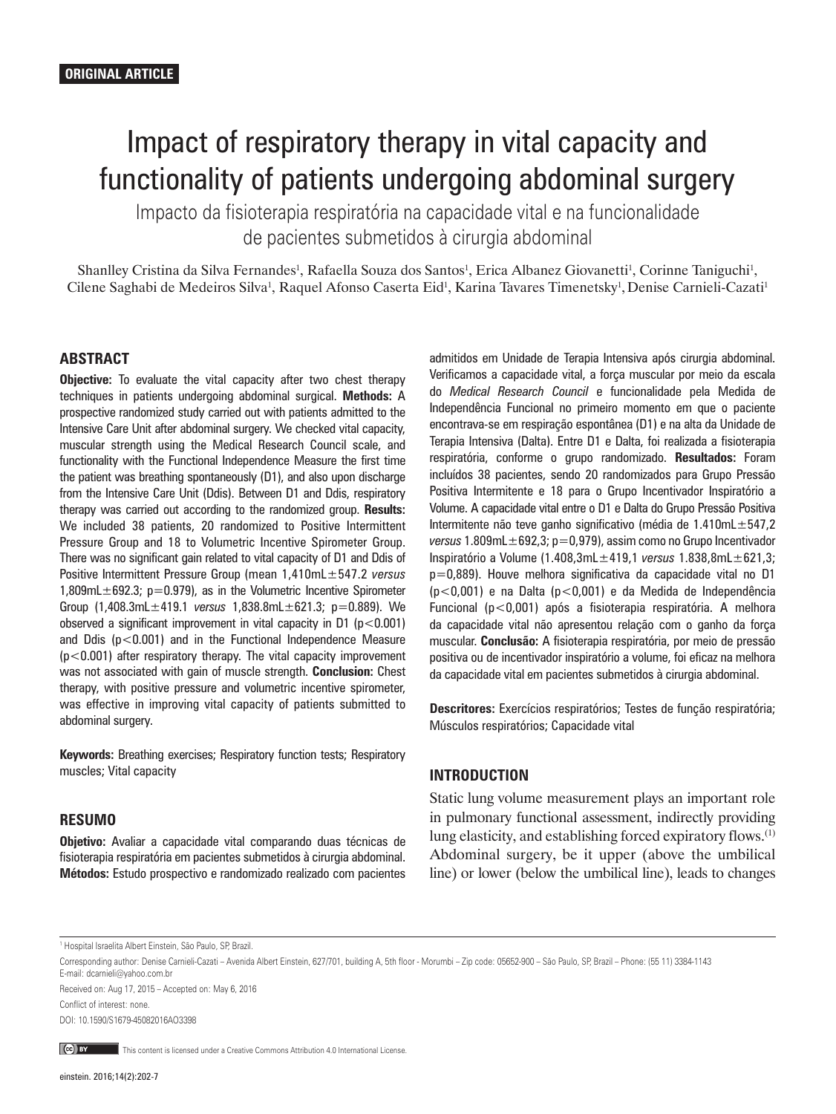# Impact of respiratory therapy in vital capacity and functionality of patients undergoing abdominal surgery

Impacto da fisioterapia respiratória na capacidade vital e na funcionalidade de pacientes submetidos à cirurgia abdominal

Shanlley Cristina da Silva Fernandes<sup>1</sup>, Rafaella Souza dos Santos<sup>1</sup>, Erica Albanez Giovanetti<sup>1</sup>, Corinne Taniguchi<sup>1</sup>, Cilene Saghabi de Medeiros Silva<sup>1</sup>, Raquel Afonso Caserta Eid<sup>1</sup>, Karina Tavares Timenetsky<sup>1</sup>, Denise Carnieli-Cazati<sup>1</sup>

## **ABSTRACT**

**Objective:** To evaluate the vital capacity after two chest therapy techniques in patients undergoing abdominal surgical. **Methods:** A prospective randomized study carried out with patients admitted to the Intensive Care Unit after abdominal surgery. We checked vital capacity, muscular strength using the Medical Research Council scale, and functionality with the Functional Independence Measure the first time the patient was breathing spontaneously (D1), and also upon discharge from the Intensive Care Unit (Ddis). Between D1 and Ddis, respiratory therapy was carried out according to the randomized group. **Results:** We included 38 patients, 20 randomized to Positive Intermittent Pressure Group and 18 to Volumetric Incentive Spirometer Group. There was no significant gain related to vital capacity of D1 and Ddis of Positive Intermittent Pressure Group (mean 1,410mL±547.2 *versus* 1,809mL $\pm$ 692.3; p=0.979), as in the Volumetric Incentive Spirometer Group (1,408.3mL±419.1 *versus* 1,838.8mL±621.3; p=0.889). We observed a significant improvement in vital capacity in  $D1$  ( $p < 0.001$ ) and Ddis  $(p<0.001)$  and in the Functional Independence Measure (p<0.001) after respiratory therapy. The vital capacity improvement was not associated with gain of muscle strength. **Conclusion:** Chest therapy, with positive pressure and volumetric incentive spirometer, was effective in improving vital capacity of patients submitted to abdominal surgery.

**Keywords:** Breathing exercises; Respiratory function tests; Respiratory muscles; Vital capacity

#### **RESUMO**

**Objetivo:** Avaliar a capacidade vital comparando duas técnicas de fisioterapia respiratória em pacientes submetidos à cirurgia abdominal. **Métodos:** Estudo prospectivo e randomizado realizado com pacientes admitidos em Unidade de Terapia Intensiva após cirurgia abdominal. Verificamos a capacidade vital, a força muscular por meio da escala do *Medical Research Council* e funcionalidade pela Medida de Independência Funcional no primeiro momento em que o paciente encontrava-se em respiração espontânea (D1) e na alta da Unidade de Terapia Intensiva (Dalta). Entre D1 e Dalta, foi realizada a fisioterapia respiratória, conforme o grupo randomizado. **Resultados:** Foram incluídos 38 pacientes, sendo 20 randomizados para Grupo Pressão Positiva Intermitente e 18 para o Grupo Incentivador Inspiratório a Volume. A capacidade vital entre o D1 e Dalta do Grupo Pressão Positiva Intermitente não teve ganho significativo (média de 1.410mL±547,2 *versus* 1.809mL±692,3; p=0,979), assim como no Grupo Incentivador Inspiratório a Volume (1.408,3mL±419,1 *versus* 1.838,8mL±621,3; p=0,889). Houve melhora significativa da capacidade vital no D1 (p<0,001) e na Dalta (p<0,001) e da Medida de Independência Funcional (p<0,001) após a fisioterapia respiratória. A melhora da capacidade vital não apresentou relação com o ganho da força muscular. **Conclusão:** A fisioterapia respiratória, por meio de pressão positiva ou de incentivador inspiratório a volume, foi eficaz na melhora da capacidade vital em pacientes submetidos à cirurgia abdominal.

**Descritores:** Exercícios respiratórios; Testes de função respiratória; Músculos respiratórios; Capacidade vital

#### **INTRODUCTION**

Static lung volume measurement plays an important role in pulmonary functional assessment, indirectly providing lung elasticity, and establishing forced expiratory flows.(1) Abdominal surgery, be it upper (above the umbilical line) or lower (below the umbilical line), leads to changes

1 Hospital Israelita Albert Einstein, São Paulo, SP, Brazil.

Corresponding author: Denise Carnieli-Cazati – Avenida Albert Einstein, 627/701, building A, 5th floor - Morumbi – Zip code: 05652-900 – São Paulo, SP, Brazil – Phone: (55 11) 3384-1143 E-mail: dcarnieli@yahoo.com.br

Received on: Aug 17, 2015 – Accepted on: May 6, 2016 Conflict of interest: none. DOI: 10.1590/S1679-45082016AO3398

This content is licensed under a Creative Commons Attribution 4.0 International License.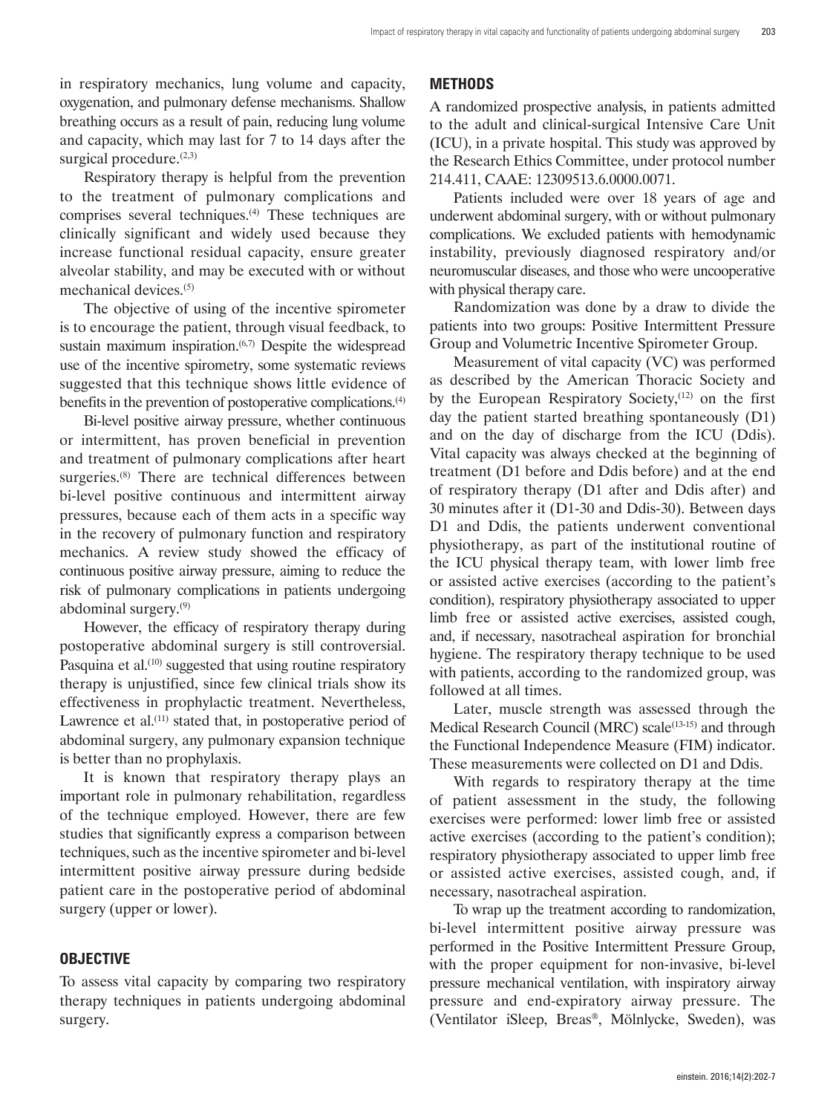in respiratory mechanics, lung volume and capacity, oxygenation, and pulmonary defense mechanisms. Shallow breathing occurs as a result of pain, reducing lung volume and capacity, which may last for 7 to 14 days after the surgical procedure. $(2,3)$ 

Respiratory therapy is helpful from the prevention to the treatment of pulmonary complications and comprises several techniques.(4) These techniques are clinically significant and widely used because they increase functional residual capacity, ensure greater alveolar stability, and may be executed with or without mechanical devices.(5)

The objective of using of the incentive spirometer is to encourage the patient, through visual feedback, to sustain maximum inspiration.<sup>(6,7)</sup> Despite the widespread use of the incentive spirometry, some systematic reviews suggested that this technique shows little evidence of benefits in the prevention of postoperative complications.(4)

Bi-level positive airway pressure, whether continuous or intermittent, has proven beneficial in prevention and treatment of pulmonary complications after heart surgeries.<sup>(8)</sup> There are technical differences between bi-level positive continuous and intermittent airway pressures, because each of them acts in a specific way in the recovery of pulmonary function and respiratory mechanics. A review study showed the efficacy of continuous positive airway pressure, aiming to reduce the risk of pulmonary complications in patients undergoing abdominal surgery.(9)

However, the efficacy of respiratory therapy during postoperative abdominal surgery is still controversial. Pasquina et al.<sup>(10)</sup> suggested that using routine respiratory therapy is unjustified, since few clinical trials show its effectiveness in prophylactic treatment. Nevertheless, Lawrence et al.<sup>(11)</sup> stated that, in postoperative period of abdominal surgery, any pulmonary expansion technique is better than no prophylaxis.

It is known that respiratory therapy plays an important role in pulmonary rehabilitation, regardless of the technique employed. However, there are few studies that significantly express a comparison between techniques, such as the incentive spirometer and bi-level intermittent positive airway pressure during bedside patient care in the postoperative period of abdominal surgery (upper or lower).

# **OBJECTIVE**

To assess vital capacity by comparing two respiratory therapy techniques in patients undergoing abdominal surgery.

# **METHODS**

A randomized prospective analysis, in patients admitted to the adult and clinical-surgical Intensive Care Unit (ICU), in a private hospital. This study was approved by the Research Ethics Committee, under protocol number 214.411, CAAE: 12309513.6.0000.0071.

Patients included were over 18 years of age and underwent abdominal surgery, with or without pulmonary complications. We excluded patients with hemodynamic instability, previously diagnosed respiratory and/or neuromuscular diseases, and those who were uncooperative with physical therapy care.

Randomization was done by a draw to divide the patients into two groups: Positive Intermittent Pressure Group and Volumetric Incentive Spirometer Group.

Measurement of vital capacity (VC) was performed as described by the American Thoracic Society and by the European Respiratory Society,<sup>(12)</sup> on the first day the patient started breathing spontaneously (D1) and on the day of discharge from the ICU (Ddis). Vital capacity was always checked at the beginning of treatment (D1 before and Ddis before) and at the end of respiratory therapy (D1 after and Ddis after) and 30 minutes after it (D1-30 and Ddis-30). Between days D1 and Ddis, the patients underwent conventional physiotherapy, as part of the institutional routine of the ICU physical therapy team, with lower limb free or assisted active exercises (according to the patient's condition), respiratory physiotherapy associated to upper limb free or assisted active exercises, assisted cough, and, if necessary, nasotracheal aspiration for bronchial hygiene. The respiratory therapy technique to be used with patients, according to the randomized group, was followed at all times.

Later, muscle strength was assessed through the Medical Research Council (MRC) scale<sup>(13-15)</sup> and through the Functional Independence Measure (FIM) indicator. These measurements were collected on D1 and Ddis.

With regards to respiratory therapy at the time of patient assessment in the study, the following exercises were performed: lower limb free or assisted active exercises (according to the patient's condition); respiratory physiotherapy associated to upper limb free or assisted active exercises, assisted cough, and, if necessary, nasotracheal aspiration.

To wrap up the treatment according to randomization, bi-level intermittent positive airway pressure was performed in the Positive Intermittent Pressure Group, with the proper equipment for non-invasive, bi-level pressure mechanical ventilation, with inspiratory airway pressure and end-expiratory airway pressure. The (Ventilator iSleep, Breas®, Mölnlycke, Sweden), was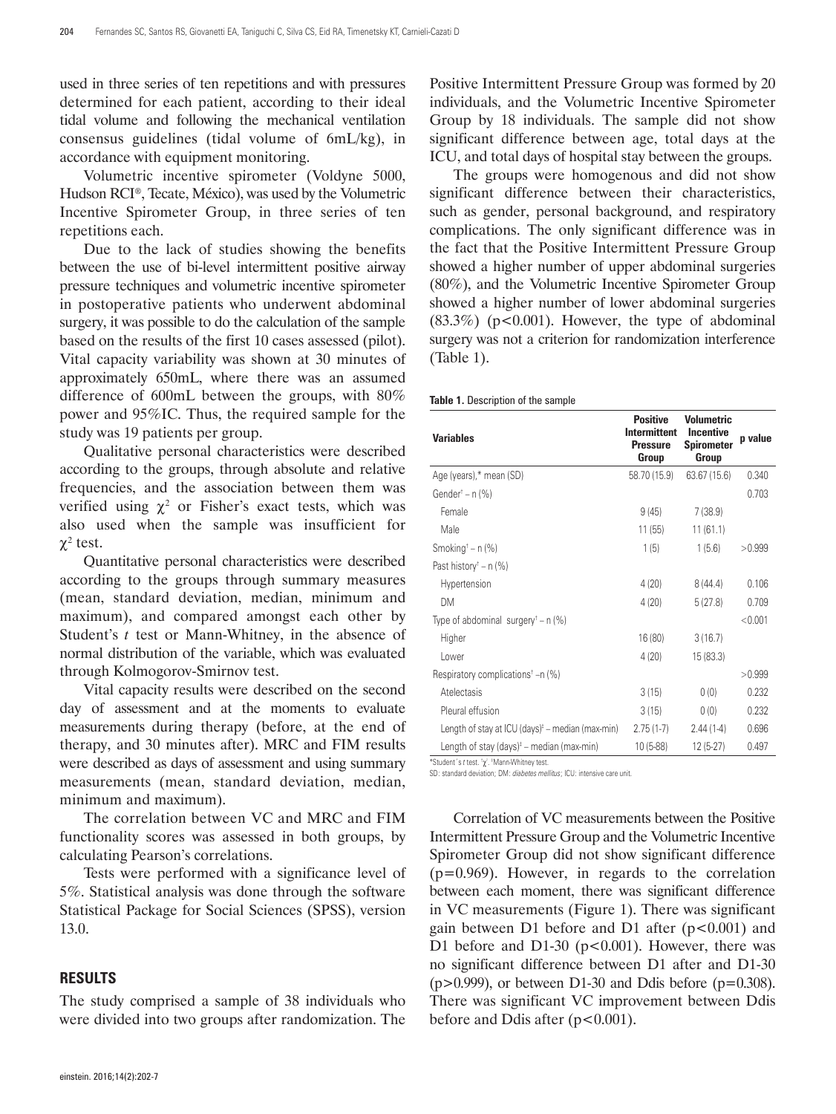used in three series of ten repetitions and with pressures determined for each patient, according to their ideal tidal volume and following the mechanical ventilation consensus guidelines (tidal volume of 6mL/kg), in accordance with equipment monitoring.

Volumetric incentive spirometer (Voldyne 5000, Hudson RCI®, Tecate, México), was used by the Volumetric Incentive Spirometer Group, in three series of ten repetitions each.

Due to the lack of studies showing the benefits between the use of bi-level intermittent positive airway pressure techniques and volumetric incentive spirometer in postoperative patients who underwent abdominal surgery, it was possible to do the calculation of the sample based on the results of the first 10 cases assessed (pilot). Vital capacity variability was shown at 30 minutes of approximately 650mL, where there was an assumed difference of 600mL between the groups, with 80% power and 95%IC. Thus, the required sample for the study was 19 patients per group.

Qualitative personal characteristics were described according to the groups, through absolute and relative frequencies, and the association between them was verified using  $\chi^2$  or Fisher's exact tests, which was also used when the sample was insufficient for  $\chi^2$  test.

Quantitative personal characteristics were described according to the groups through summary measures (mean, standard deviation, median, minimum and maximum), and compared amongst each other by Student's *t* test or Mann-Whitney, in the absence of normal distribution of the variable, which was evaluated through Kolmogorov-Smirnov test.

Vital capacity results were described on the second day of assessment and at the moments to evaluate measurements during therapy (before, at the end of therapy, and 30 minutes after). MRC and FIM results were described as days of assessment and using summary measurements (mean, standard deviation, median, minimum and maximum).

The correlation between VC and MRC and FIM functionality scores was assessed in both groups, by calculating Pearson's correlations.

Tests were performed with a significance level of 5%. Statistical analysis was done through the software Statistical Package for Social Sciences (SPSS), version 13.0.

#### **RESULTS**

The study comprised a sample of 38 individuals who were divided into two groups after randomization. The

Positive Intermittent Pressure Group was formed by 20 individuals, and the Volumetric Incentive Spirometer Group by 18 individuals. The sample did not show significant difference between age, total days at the ICU, and total days of hospital stay between the groups.

The groups were homogenous and did not show significant difference between their characteristics, such as gender, personal background, and respiratory complications. The only significant difference was in the fact that the Positive Intermittent Pressure Group showed a higher number of upper abdominal surgeries (80%), and the Volumetric Incentive Spirometer Group showed a higher number of lower abdominal surgeries  $(83.3\%)$  (p<0.001). However, the type of abdominal surgery was not a criterion for randomization interference (Table 1).

|  |  | Table 1. Description of the sample |  |  |
|--|--|------------------------------------|--|--|
|--|--|------------------------------------|--|--|

| <b>Variables</b>                                              | <b>Positive</b><br>Intermittent<br><b>Pressure</b><br>Group | <b>Volumetric</b><br>Incentive<br><b>Spirometer</b><br>Group | p value |
|---------------------------------------------------------------|-------------------------------------------------------------|--------------------------------------------------------------|---------|
| Age (years),* mean (SD)                                       | 58.70 (15.9)                                                | 63.67 (15.6)                                                 | 0.340   |
| Gender <sup><math>\dagger</math></sup> – n (%)                |                                                             |                                                              | 0.703   |
| Female                                                        | 9(45)                                                       | 7(38.9)                                                      |         |
| Male                                                          | 11(55)                                                      | 11(61.1)                                                     |         |
| Smoking <sup><math>†</math></sup> – n (%)                     | 1(5)                                                        | 1(5.6)                                                       | >0.999  |
| Past history <sup>†</sup> – n (%)                             |                                                             |                                                              |         |
| Hypertension                                                  | 4(20)                                                       | 8(44.4)                                                      | 0.106   |
| <b>DM</b>                                                     | 4(20)                                                       | 5(27.8)                                                      | 0.709   |
| Type of abdominal surgery <sup><math>+</math></sup> – n (%)   |                                                             |                                                              | < 0.001 |
| Higher                                                        | 16 (80)                                                     | 3(16.7)                                                      |         |
| Lower                                                         | 4(20)                                                       | 15(83.3)                                                     |         |
| Respiratory complications <sup>†</sup> -n (%)                 |                                                             |                                                              | >0.999  |
| Atelectasis                                                   | 3(15)                                                       | 0(0)                                                         | 0.232   |
| Pleural effusion                                              | 3(15)                                                       | 0(0)                                                         | 0.232   |
| Length of stay at ICU (days) $\frac{1}{2}$ – median (max-min) | $2.75(1-7)$                                                 | $2.44(1-4)$                                                  | 0.696   |
| Length of stay $(days)^{\ddagger}$ – median (max-min)         | 10 (5-88)                                                   | $12(5-27)$                                                   | 0.497   |

\*Student´s *t* test. † χ² . ‡ Mann-Whitney test. SD: standard deviation; DM: *diabetes mellitus*; ICU: intensive care unit.

Correlation of VC measurements between the Positive Intermittent Pressure Group and the Volumetric Incentive Spirometer Group did not show significant difference (p=0.969). However, in regards to the correlation between each moment, there was significant difference in VC measurements (Figure 1). There was significant gain between D1 before and D1 after  $(p<0.001)$  and D1 before and D1-30 ( $p$ <0.001). However, there was no significant difference between D1 after and D1-30  $(p>0.999)$ , or between D1-30 and Ddis before  $(p=0.308)$ . There was significant VC improvement between Ddis before and Ddis after  $(p<0.001)$ .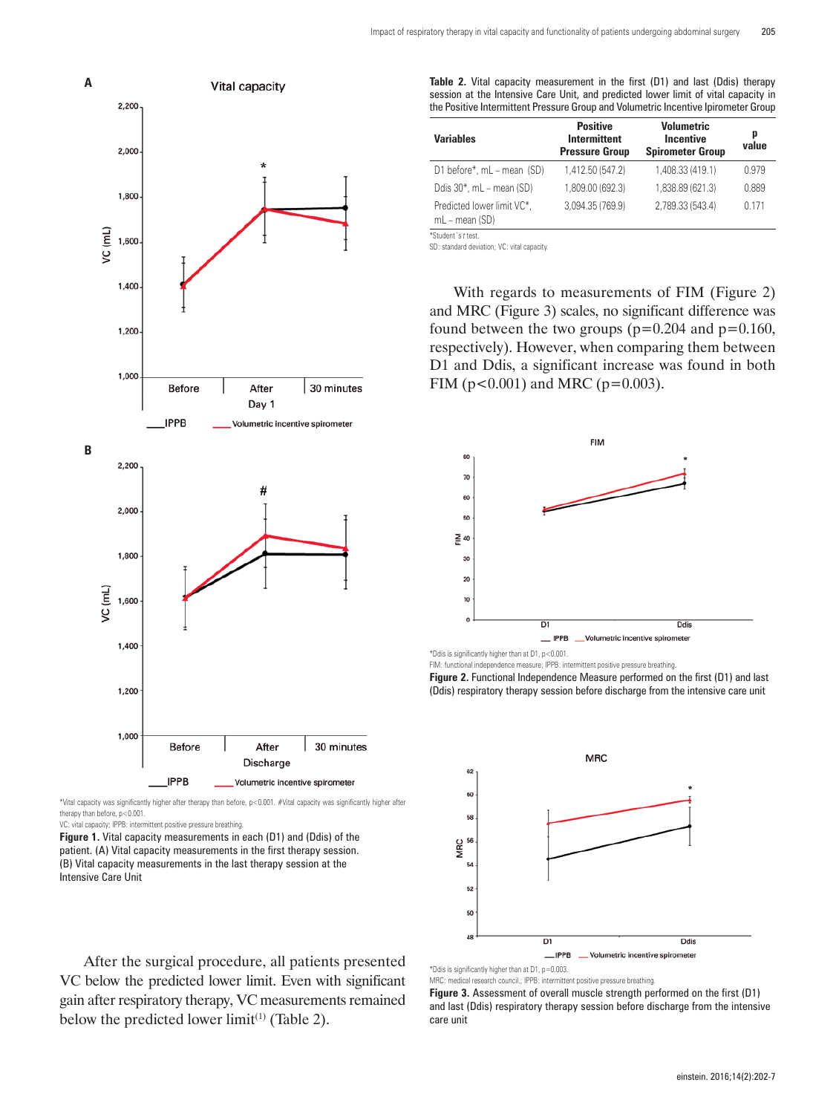

\*Vital capacity was significantly higher after therapy than before, p<0.001. #Vital capacity was significantly higher after therapy than before, p<0.001.

VC: vital capacity; IPPB: intermittent positive pressure breathing.

**Figure 1.** Vital capacity measurements in each (D1) and (Ddis) of the patient. (A) Vital capacity measurements in the first therapy session. (B) Vital capacity measurements in the last therapy session at the Intensive Care Unit

**Table 2.** Vital capacity measurement in the first (D1) and last (Ddis) therapy session at the Intensive Care Unit, and predicted lower limit of vital capacity in the Positive Intermittent Pressure Group and Volumetric Incentive Ipirometer Group

| <b>Variables</b>                                 | <b>Positive</b><br>Intermittent<br><b>Pressure Group</b> | <b>Volumetric</b><br>Incentive<br><b>Spirometer Group</b> | p<br>value |
|--------------------------------------------------|----------------------------------------------------------|-----------------------------------------------------------|------------|
| D1 before*, mL - mean (SD)                       | 1.412.50 (547.2)                                         | 1.408.33 (419.1)                                          | 0.979      |
| Ddis $30^*$ , mL – mean (SD)                     | 1.809.00 (692.3)                                         | 1.838.89 (621.3)                                          | 0.889      |
| Predicted lower limit VC*,<br>$mL$ – mean $(SD)$ | 3.094.35 (769.9)                                         | 2.789.33 (543.4)                                          | 0.171      |

\*Student´s *t* test.

SD: standard deviation; VC: vital capacity

With regards to measurements of FIM (Figure 2) and MRC (Figure 3) scales, no significant difference was found between the two groups ( $p=0.204$  and  $p=0.160$ , respectively). However, when comparing them between D1 and Ddis, a significant increase was found in both FIM ( $p < 0.001$ ) and MRC ( $p = 0.003$ ).



FIM: functional independence measure; IPPB: intermittent positive pressure breathing. **Figure 2.** Functional Independence Measure performed on the first (D1) and last

(Ddis) respiratory therapy session before discharge from the intensive care unit



After the surgical procedure, all patients presented VC below the predicted lower limit. Even with significant gain after respiratory therapy, VC measurements remained below the predicted lower limit<sup> $(1)$ </sup> (Table 2).

MRC: medical research council.; IPPB: intermittent positive pressure breathing.

**Figure 3.** Assessment of overall muscle strength performed on the first (D1) and last (Ddis) respiratory therapy session before discharge from the intensive care unit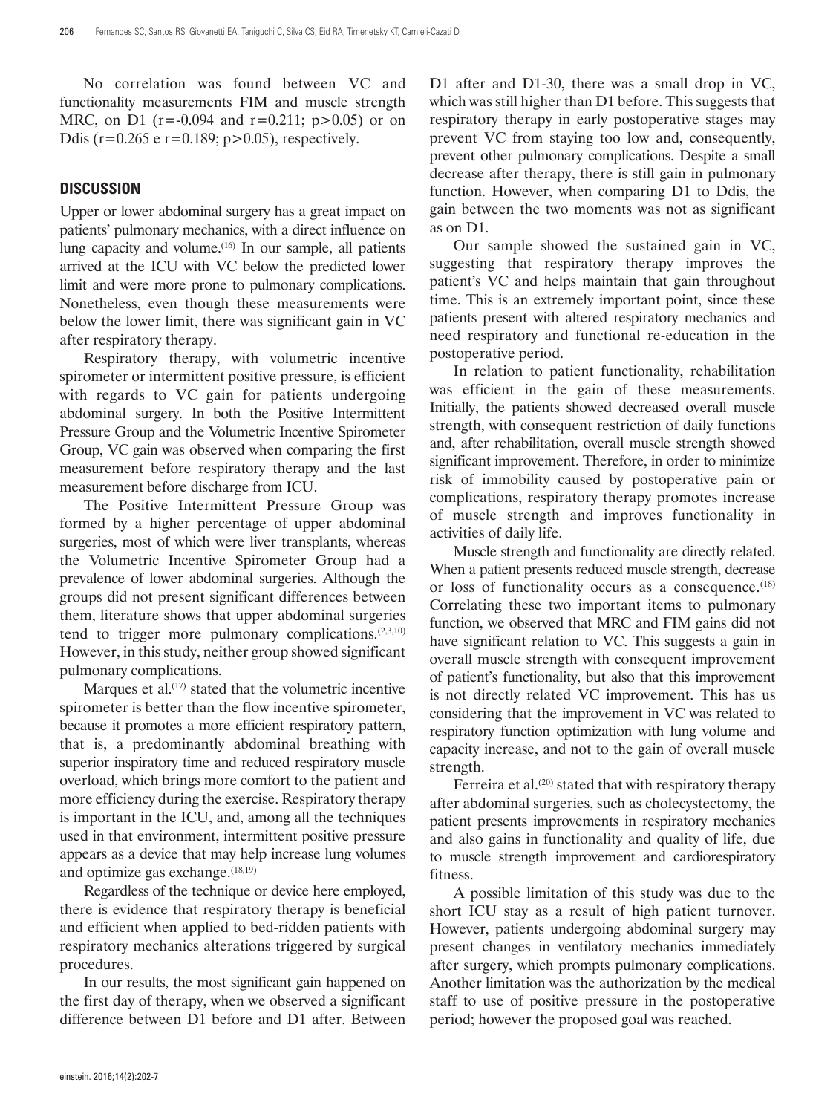No correlation was found between VC and functionality measurements FIM and muscle strength MRC, on D1 ( $r = -0.094$  and  $r = 0.211$ ;  $p > 0.05$ ) or on Ddis ( $r=0.265$  e  $r=0.189$ ;  $p>0.05$ ), respectively.

## **DISCUSSION**

Upper or lower abdominal surgery has a great impact on patients' pulmonary mechanics, with a direct influence on lung capacity and volume.<sup>(16)</sup> In our sample, all patients arrived at the ICU with VC below the predicted lower limit and were more prone to pulmonary complications. Nonetheless, even though these measurements were below the lower limit, there was significant gain in VC after respiratory therapy.

Respiratory therapy, with volumetric incentive spirometer or intermittent positive pressure, is efficient with regards to VC gain for patients undergoing abdominal surgery. In both the Positive Intermittent Pressure Group and the Volumetric Incentive Spirometer Group, VC gain was observed when comparing the first measurement before respiratory therapy and the last measurement before discharge from ICU.

The Positive Intermittent Pressure Group was formed by a higher percentage of upper abdominal surgeries, most of which were liver transplants, whereas the Volumetric Incentive Spirometer Group had a prevalence of lower abdominal surgeries. Although the groups did not present significant differences between them, literature shows that upper abdominal surgeries tend to trigger more pulmonary complications.<sup>(2,3,10)</sup> However, in this study, neither group showed significant pulmonary complications.

Marques et al. $(17)$  stated that the volumetric incentive spirometer is better than the flow incentive spirometer, because it promotes a more efficient respiratory pattern, that is, a predominantly abdominal breathing with superior inspiratory time and reduced respiratory muscle overload, which brings more comfort to the patient and more efficiency during the exercise. Respiratory therapy is important in the ICU, and, among all the techniques used in that environment, intermittent positive pressure appears as a device that may help increase lung volumes and optimize gas exchange. $(18,19)$ 

Regardless of the technique or device here employed, there is evidence that respiratory therapy is beneficial and efficient when applied to bed-ridden patients with respiratory mechanics alterations triggered by surgical procedures.

In our results, the most significant gain happened on the first day of therapy, when we observed a significant difference between D1 before and D1 after. Between D1 after and D1-30, there was a small drop in VC, which was still higher than D1 before. This suggests that respiratory therapy in early postoperative stages may prevent VC from staying too low and, consequently, prevent other pulmonary complications. Despite a small decrease after therapy, there is still gain in pulmonary function. However, when comparing D1 to Ddis, the gain between the two moments was not as significant as on D1.

Our sample showed the sustained gain in VC, suggesting that respiratory therapy improves the patient's VC and helps maintain that gain throughout time. This is an extremely important point, since these patients present with altered respiratory mechanics and need respiratory and functional re-education in the postoperative period.

In relation to patient functionality, rehabilitation was efficient in the gain of these measurements. Initially, the patients showed decreased overall muscle strength, with consequent restriction of daily functions and, after rehabilitation, overall muscle strength showed significant improvement. Therefore, in order to minimize risk of immobility caused by postoperative pain or complications, respiratory therapy promotes increase of muscle strength and improves functionality in activities of daily life.

Muscle strength and functionality are directly related. When a patient presents reduced muscle strength, decrease or loss of functionality occurs as a consequence.<sup>(18)</sup> Correlating these two important items to pulmonary function, we observed that MRC and FIM gains did not have significant relation to VC. This suggests a gain in overall muscle strength with consequent improvement of patient's functionality, but also that this improvement is not directly related VC improvement. This has us considering that the improvement in VC was related to respiratory function optimization with lung volume and capacity increase, and not to the gain of overall muscle strength.

Ferreira et al.<sup>(20)</sup> stated that with respiratory therapy after abdominal surgeries, such as cholecystectomy, the patient presents improvements in respiratory mechanics and also gains in functionality and quality of life, due to muscle strength improvement and cardiorespiratory fitness.

A possible limitation of this study was due to the short ICU stay as a result of high patient turnover. However, patients undergoing abdominal surgery may present changes in ventilatory mechanics immediately after surgery, which prompts pulmonary complications. Another limitation was the authorization by the medical staff to use of positive pressure in the postoperative period; however the proposed goal was reached.